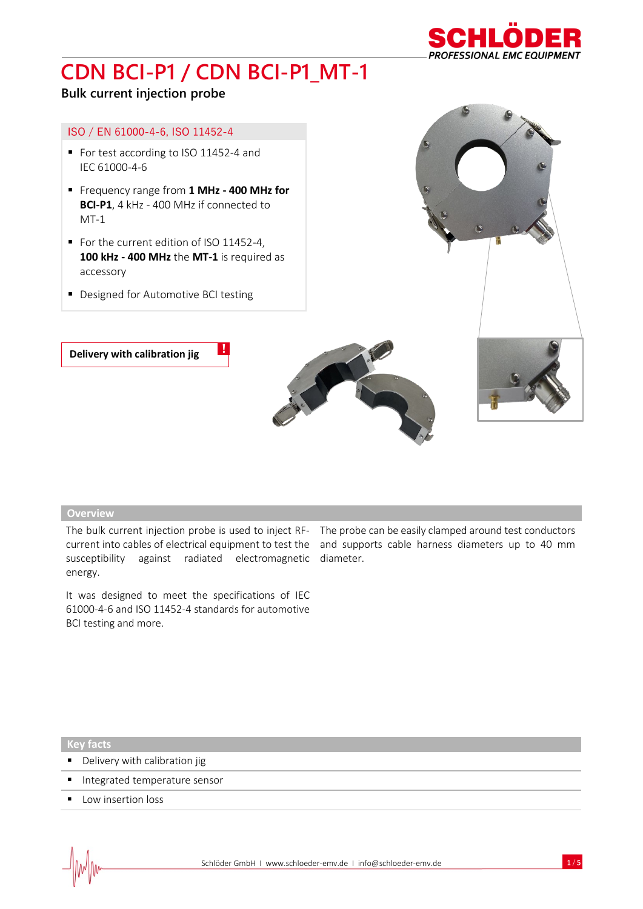

### **Bulk current injection probe**

#### ISO / EN 61000-4-6, ISO 11452-4

- For test according to ISO 11452-4 and IEC 61000-4-6
- Frequency range from **1 MHz - 400 MHz for BCI-P1**, 4 kHz - 400 MHz if connected to MT-1
- For the current edition of ISO 11452-4, **100 kHz - 400 MHz** the **MT-1** is required as accessory
- Designed for Automotive BCI testing



#### **Overview**

susceptibility against radiated electromagnetic diameter. energy.

It was designed to meet the specifications of IEC 61000-4-6 and ISO 11452-4 standards for automotive BCI testing and more.

The bulk current injection probe is used to inject RF- The probe can be easily clamped around test conductors current into cables of electrical equipment to test the and supports cable harness diameters up to 40 mm

**Key facts**

- Delivery with calibration jig
- **Integrated temperature sensor**
- Low insertion loss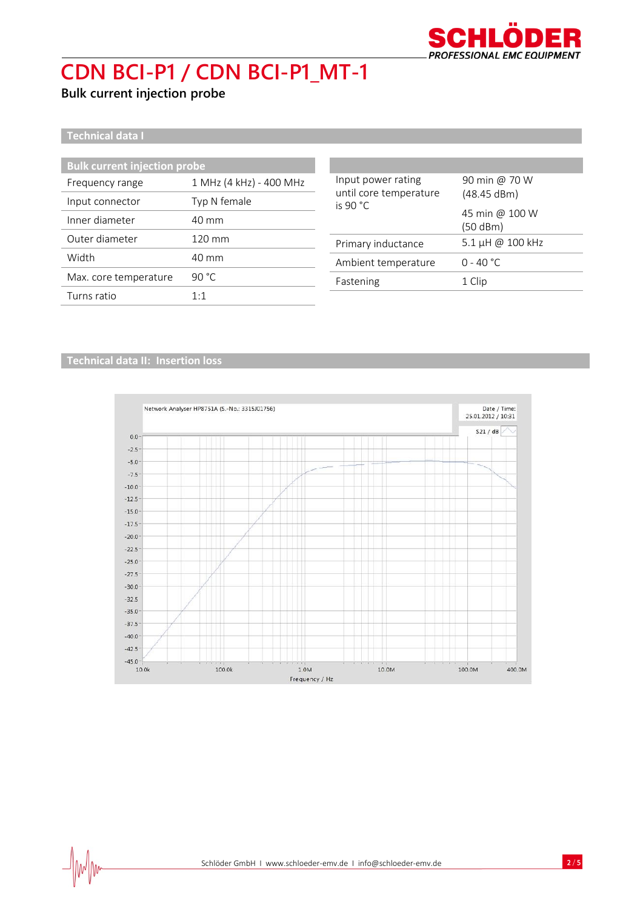

**Bulk current injection probe**

**Technical data I**

| <b>Bulk current injection probe</b> |                                                                    |                                                        |
|-------------------------------------|--------------------------------------------------------------------|--------------------------------------------------------|
| 1 MHz (4 kHz) - 400 MHz             | Input power rating<br>until core temperature<br>is 90 $^{\circ}$ C | 90 min @ 70 W                                          |
| Typ N female                        |                                                                    | (48.45 dBm)                                            |
| 40 mm                               |                                                                    | 45 min @ 100 W<br>(50 dBm)                             |
| 120 mm                              |                                                                    | 5.1 µH @ 100 kHz                                       |
| 40 mm                               |                                                                    | $0 - 40 °C$                                            |
| 90 $^{\circ}$ C                     |                                                                    | 1 Clip                                                 |
| 1:1                                 |                                                                    |                                                        |
|                                     |                                                                    | Primary inductance<br>Ambient temperature<br>Fastening |

### **Technical data II: Insertion loss**

 $\frac{1}{2}$ 

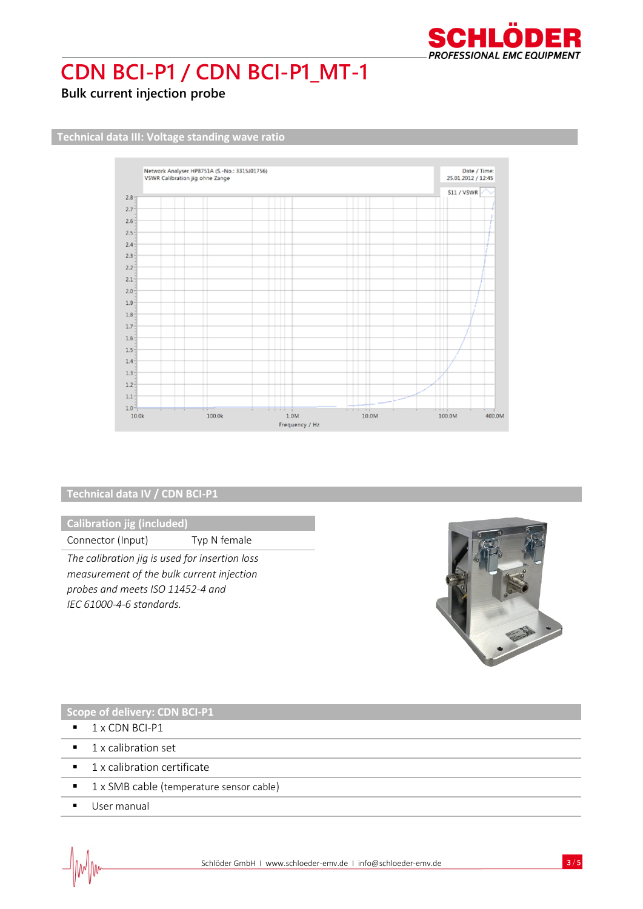

**Bulk current injection probe**

**Technical data III: Voltage standing wave ratio**



#### **Technical data IV / CDN BCI-P1**

**Calibration jig (included)**

Connector (Input) Typ N female

*The calibration jig is used for insertion loss measurement of the bulk current injection probes and meets ISO 11452-4 and IEC 61000-4-6 standards.* 



#### **Scope of delivery: CDN BCI-P1**

- $\blacksquare$  1 x CDN BCI-P1
- 1 x calibration set
- 1 x calibration certificate
- 1 x SMB cable (temperature sensor cable)
- User manual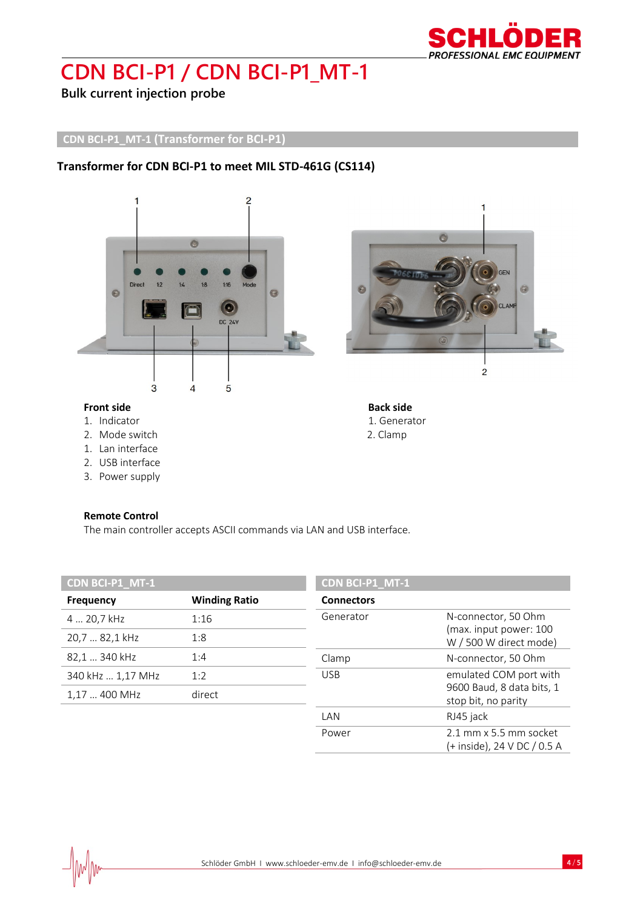

**Bulk current injection probe**

### **CDN BCI-P1\_MT-1 (Transformer for BCI-P1)**

### **Transformer for CDN BCI-P1 to meet MIL STD-461G (CS114)**



### **Front side Back side Back side**

- 
- 2. Mode switch **2. 2. Clamp**
- 1. Lan interface
- 2. USB interface
- 3. Power supply

#### **Remote Control**

The main controller accepts ASCII commands via LAN and USB interface.

| CDN BCI-P1_MT-1   |                      | CDN BCI-P1_MT-1   |                                                  |
|-------------------|----------------------|-------------------|--------------------------------------------------|
| <b>Frequency</b>  | <b>Winding Ratio</b> | <b>Connectors</b> |                                                  |
| 4  20,7 kHz       | 1:16                 | Generator         | N-connector, 50 Ohm<br>(max. input power: 100    |
| 20,7  82,1 kHz    | 1:8                  |                   | W / 500 W direct mode)                           |
| 82,1  340 kHz     | 1:4                  | Clamp             | N-connector, 50 Ohm                              |
| 340 kHz  1,17 MHz | 1:2                  | <b>USB</b>        | emulated COM port with                           |
| 1,17  400 MHz     | direct               |                   | 9600 Baud, 8 data bits, 1<br>stop bit, no parity |
|                   |                      | LAN               | RJ45 jack                                        |
|                   |                      | Power             | 2.1 mm x 5.5 mm socket                           |



1. Indicator 1. Generator

(+ inside), 24 V DC / 0.5 A